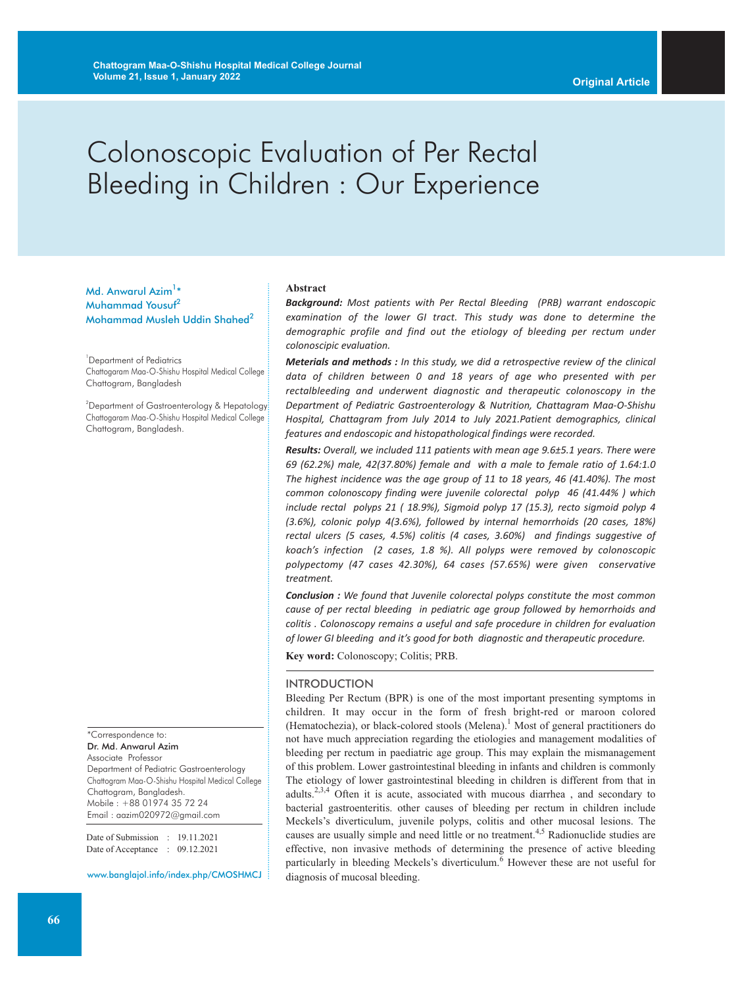# Colonoscopic Evaluation of Per Rectal Bleeding in Children : Our Experience

Md. Anwarul Azim<sup>1</sup>\* Muhammad Yousuf 2 Mohammad Musleh Uddin Shahed<sup>2</sup>

1 Department of Pediatrics Chattogaram Maa-O-Shishu Hospital Medical College Chattogram, Bangladesh

<sup>2</sup>Department of Gastroenterology & Hepatology Chattogaram Maa-O-Shishu Hospital Medical College Chattogram, Bangladesh.

\*Correspondence to:

Dr. Md. Anwarul Azim Associate Professor Department of Pediatric Gastroenterology Chattogram Maa-O-Shishu Hospital Medical College Chattogram, Bangladesh. Mobile : +88 01974 35 72 24 Email : aazim020972@gmail.com

Date of Submission : 19.11.2021 Date of Acceptance : 09.12.2021

www.banglajol.info/index.php/CMOSHMCJ

#### **Abstract**

*Background: Most patients with Per Rectal Bleeding (PRB) warrant endoscopic examination of the lower GI tract. This study was done to determine the demographic profile and find out the etiology of bleeding per rectum under colonoscipic evaluation.*

*Meterials and methods : In this study, we did a retrospective review of the clinical data of children between 0 and 18 years of age who presented with per rectalbleeding and underwent diagnostic and therapeutic colonoscopy in the Department of Pediatric Gastroenterology & Nutrition, Chattagram Maa-O-Shishu Hospital, Chattagram from July 2014 to July 2021.Patient demographics, clinical features and endoscopic and histopathological findings were recorded.*

*Results: Overall, we included 111 patients with mean age 9.6±5.1 years. There were 69 (62.2%) male, 42(37.80%) female and with a male to female ratio of 1.64:1.0 The highest incidence was the age group of 11 to 18 years, 46 (41.40%). The most common colonoscopy finding were juvenile colorectal polyp 46 (41.44% ) which include rectal polyps 21 ( 18.9%), Sigmoid polyp 17 (15.3), recto sigmoid polyp 4 (3.6%), colonic polyp 4(3.6%), followed by internal hemorrhoids (20 cases, 18%) rectal ulcers (5 cases, 4.5%) colitis (4 cases, 3.60%) and findings suggestive of koach's infection (2 cases, 1.8 %). All polyps were removed by colonoscopic polypectomy (47 cases 42.30%), 64 cases (57.65%) were given conservative treatment.*

*Conclusion : We found that Juvenile colorectal polyps constitute the most common cause of per rectal bleeding in pediatric age group followed by hemorrhoids and colitis . Colonoscopy remains a useful and safe procedure in children for evaluation of lower GI bleeding and it's good for both diagnostic and therapeutic procedure.*

**Key word:** Colonoscopy; Colitis; PRB.

#### INTRODUCTION

Bleeding Per Rectum (BPR) is one of the most important presenting symptoms in children. It may occur in the form of fresh bright-red or maroon colored (Hematochezia), or black-colored stools (Melena). <sup>1</sup> Most of general practitioners do not have much appreciation regarding the etiologies and management modalities of bleeding per rectum in paediatric age group. This may explain the mismanagement of this problem. Lower gastrointestinal bleeding in infants and children is commonly The etiology of lower gastrointestinal bleeding in children is different from that in adults.<sup>2,3,4</sup> Often it is acute, associated with mucous diarrhea, and secondary to bacterial gastroenteritis. other causes of bleeding per rectum in children include Meckels's diverticulum, juvenile polyps, colitis and other mucosal lesions. The causes are usually simple and need little or no treatment.<sup>4,5</sup> Radionuclide studies are effective, non invasive methods of determining the presence of active bleeding particularly in bleeding Meckels's diverticulum. <sup>6</sup> However these are not useful for diagnosis of mucosal bleeding.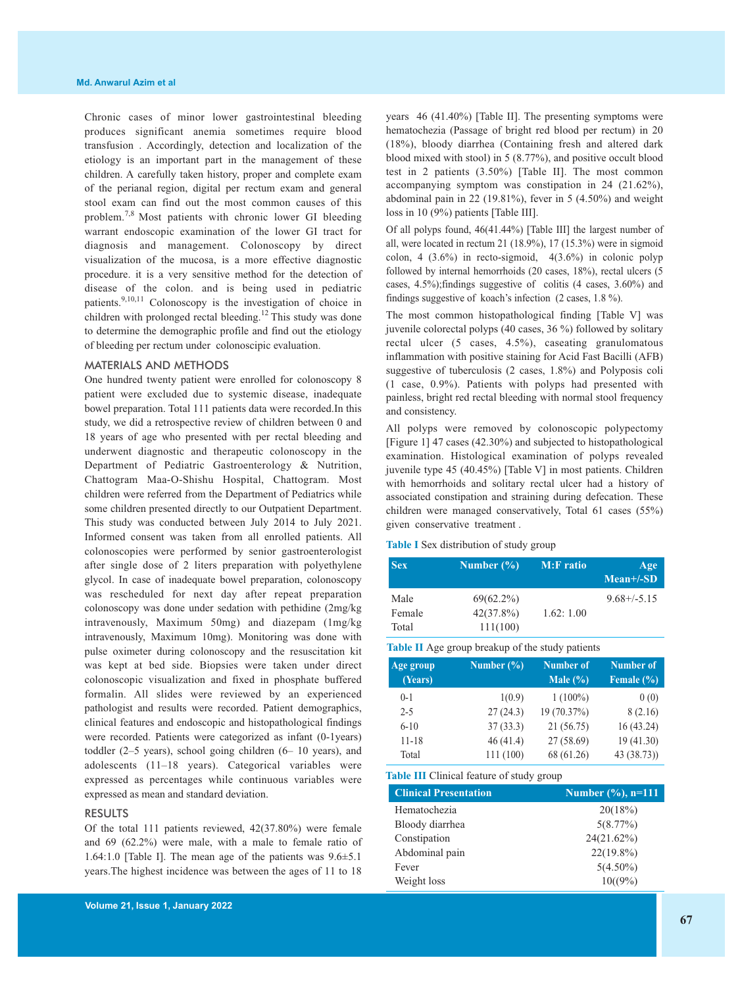Chronic cases of minor lower gastrointestinal bleeding produces significant anemia sometimes require blood transfusion . Accordingly, detection and localization of the etiology is an important part in the management of these children. A carefully taken history, proper and complete exam of the perianal region, digital per rectum exam and general stool exam can find out the most common causes of this problem.<sup>7,8</sup> Most patients with chronic lower GI bleeding warrant endoscopic examination of the lower GI tract for diagnosis and management. Colonoscopy by direct visualization of the mucosa, is a more effective diagnostic procedure. it is a very sensitive method for the detection of disease of the colon. and is being used in pediatric patients.<sup>9,10,11</sup> Colonoscopy is the investigation of choice in children with prolonged rectal bleeding.<sup>12</sup> This study was done to determine the demographic profile and find out the etiology of bleeding per rectum under colonoscipic evaluation.

#### MATERIALS AND METHODS

One hundred twenty patient were enrolled for colonoscopy 8 patient were excluded due to systemic disease, inadequate bowel preparation. Total 111 patients data were recorded.In this study, we did a retrospective review of children between 0 and 18 years of age who presented with per rectal bleeding and underwent diagnostic and therapeutic colonoscopy in the Department of Pediatric Gastroenterology & Nutrition, Chattogram Maa-O-Shishu Hospital, Chattogram. Most children were referred from the Department of Pediatrics while some children presented directly to our Outpatient Department. This study was conducted between July 2014 to July 2021. Informed consent was taken from all enrolled patients. All colonoscopies were performed by senior gastroenterologist after single dose of 2 liters preparation with polyethylene glycol. In case of inadequate bowel preparation, colonoscopy was rescheduled for next day after repeat preparation colonoscopy was done under sedation with pethidine (2mg/kg intravenously, Maximum 50mg) and diazepam (1mg/kg intravenously, Maximum 10mg). Monitoring was done with pulse oximeter during colonoscopy and the resuscitation kit was kept at bed side. Biopsies were taken under direct colonoscopic visualization and fixed in phosphate buffered formalin. All slides were reviewed by an experienced pathologist and results were recorded. Patient demographics, clinical features and endoscopic and histopathological findings were recorded. Patients were categorized as infant (0-1years) toddler (2–5 years), school going children (6– 10 years), and adolescents (11–18 years). Categorical variables were expressed as percentages while continuous variables were expressed as mean and standard deviation.

#### RESULTS

Of the total 111 patients reviewed, 42(37.80%) were female and 69 (62.2%) were male, with a male to female ratio of 1.64:1.0 [Table I]. The mean age of the patients was 9.6±5.1 years.The highest incidence was between the ages of 11 to 18 years 46 (41.40%) [Table II]. The presenting symptoms were hematochezia (Passage of bright red blood per rectum) in 20 (18%), bloody diarrhea (Containing fresh and altered dark blood mixed with stool) in 5 (8.77%), and positive occult blood test in 2 patients (3.50%) [Table II]. The most common accompanying symptom was constipation in 24 (21.62%), abdominal pain in 22 (19.81%), fever in 5 (4.50%) and weight loss in 10 (9%) patients [Table III].

Of all polyps found, 46(41.44%) [Table III] the largest number of all, were located in rectum 21 (18.9%), 17 (15.3%) were in sigmoid colon, 4 (3.6%) in recto-sigmoid, 4(3.6%) in colonic polyp followed by internal hemorrhoids (20 cases, 18%), rectal ulcers (5 cases, 4.5%);findings suggestive of colitis (4 cases, 3.60%) and findings suggestive of koach's infection (2 cases, 1.8 %).

The most common histopathological finding [Table V] was juvenile colorectal polyps (40 cases, 36 %) followed by solitary rectal ulcer (5 cases, 4.5%), caseating granulomatous inflammation with positive staining for Acid Fast Bacilli (AFB) suggestive of tuberculosis (2 cases, 1.8%) and Polyposis coli (1 case, 0.9%). Patients with polyps had presented with painless, bright red rectal bleeding with normal stool frequency and consistency.

All polyps were removed by colonoscopic polypectomy [Figure 1] 47 cases (42.30%) and subjected to histopathological examination. Histological examination of polyps revealed juvenile type 45 (40.45%) [Table V] in most patients. Children with hemorrhoids and solitary rectal ulcer had a history of associated constipation and straining during defecation. These children were managed conservatively, Total 61 cases (55%) given conservative treatment .

**Table I** Sex distribution of study group

| <b>Sex</b> | Number $(\% )$ | <b>M:F</b> ratio | Age<br>$Mean+/-SD$ |
|------------|----------------|------------------|--------------------|
| Male       | $69(62.2\%)$   |                  | $9.68 + (-5.15)$   |
| Female     | $42(37.8\%)$   | 1.62:1.00        |                    |
| Total      | 111(100)       |                  |                    |

**Table II** Age group breakup of the study patients

| Age group<br>(Years) | Number $(\% )$ | <b>Number of</b><br>Male $(\% )$ | <b>Number</b> of<br>Female $(\% )$ |
|----------------------|----------------|----------------------------------|------------------------------------|
| $0-1$                | 1(0.9)         | $1(100\%)$                       | 0(0)                               |
| $2 - 5$              | 27(24.3)       | 19 (70.37%)                      | 8(2.16)                            |
| $6-10$               | 37(33.3)       | 21 (56.75)                       | 16 (43.24)                         |
| 11-18                | 46(41.4)       | 27 (58.69)                       | 19(41.30)                          |
| Total                | 111 (100)      | 68 (61.26)                       | 43(38.73)                          |

**Table III** Clinical feature of study group

| <b>Clinical Presentation</b> | Number $(\%), n=111$ |
|------------------------------|----------------------|
| Hematochezia                 | 20(18%)              |
| Bloody diarrhea              | 5(8.77%)             |
| Constipation                 | 24(21.62%)           |
| Abdominal pain               | $22(19.8\%)$         |
| Fever                        | $5(4.50\%)$          |
| Weight loss                  | $10(19\%)$           |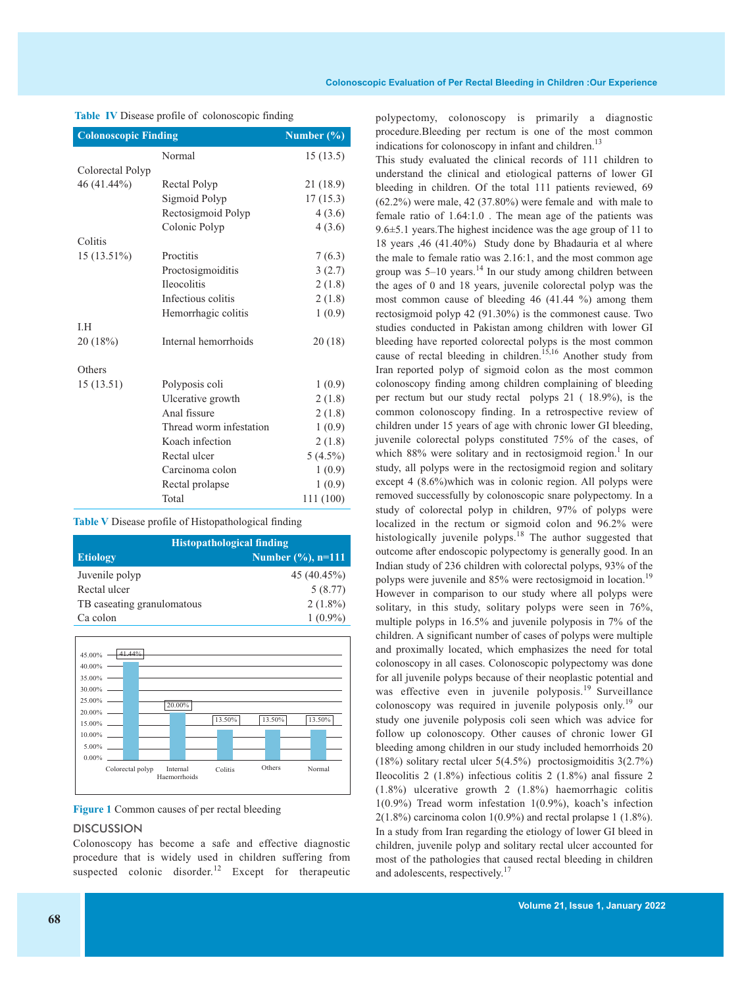| <b>Colonoscopic Finding</b> |                         | Number $(\% )$ |
|-----------------------------|-------------------------|----------------|
|                             | Normal                  | 15(13.5)       |
| Colorectal Polyp            |                         |                |
| 46 (41.44%)                 | Rectal Polyp            | 21 (18.9)      |
|                             | Sigmoid Polyp           | 17(15.3)       |
|                             | Rectosigmoid Polyp      | 4(3.6)         |
|                             | Colonic Polyp           | 4(3.6)         |
| Colitis                     |                         |                |
| 15 (13.51%)                 | Proctitis               | 7(6.3)         |
|                             | Proctosigmoiditis       | 3(2.7)         |
|                             | <b>Ileocolitis</b>      | 2(1.8)         |
|                             | Infectious colitis      | 2(1.8)         |
|                             | Hemorrhagic colitis     | 1(0.9)         |
| I.H                         |                         |                |
| 20 (18%)                    | Internal hemorrhoids    | 20(18)         |
| Others                      |                         |                |
| 15(13.51)                   | Polyposis coli          | 1(0.9)         |
|                             | Ulcerative growth       | 2(1.8)         |
|                             | Anal fissure            | 2(1.8)         |
|                             | Thread worm infestation | 1(0.9)         |
|                             | Koach infection         | 2(1.8)         |
|                             | Rectal ulcer            | $5(4.5\%)$     |
|                             | Carcinoma colon         | 1(0.9)         |
|                             | Rectal prolapse         | 1(0.9)         |
|                             | Total                   | 111 (100)      |

**Table IV** Disease profile of colonoscopic finding

**Table V** Disease profile of Histopathological finding

| <b>Histopathological finding</b> |                      |  |
|----------------------------------|----------------------|--|
| <b>Etiology</b>                  | Number $(\%), n=111$ |  |
| Juvenile polyp                   | 45(40.45%)           |  |
| Rectal ulcer                     | 5(8.77)              |  |
| TB caseating granulomatous       | $2(1.8\%)$           |  |
| Ca colon                         | $1(0.9\%)$           |  |



**Figure 1** Common causes of per rectal bleeding

#### **DISCUSSION**

Colonoscopy has become a safe and effective diagnostic procedure that is widely used in children suffering from suspected colonic disorder.<sup>12</sup> Except for therapeutic

polypectomy, colonoscopy is primarily a diagnostic procedure.Bleeding per rectum is one of the most common indications for colonoscopy in infant and children.<sup>13</sup>

This study evaluated the clinical records of 111 children to understand the clinical and etiological patterns of lower GI bleeding in children. Of the total 111 patients reviewed, 69 (62.2%) were male, 42 (37.80%) were female and with male to female ratio of 1.64:1.0 . The mean age of the patients was 9.6±5.1 years.The highest incidence was the age group of 11 to 18 years ,46 (41.40%) Study done by Bhadauria et al where the male to female ratio was 2.16:1, and the most common age group was 5–10 years. <sup>14</sup> In our study among children between the ages of 0 and 18 years, juvenile colorectal polyp was the most common cause of bleeding 46 (41.44 %) among them rectosigmoid polyp 42 (91.30%) is the commonest cause. Two studies conducted in Pakistan among children with lower GI bleeding have reported colorectal polyps is the most common cause of rectal bleeding in children. 15,16 Another study from Iran reported polyp of sigmoid colon as the most common colonoscopy finding among children complaining of bleeding per rectum but our study rectal polyps 21 ( 18.9%), is the common colonoscopy finding. In a retrospective review of children under 15 years of age with chronic lower GI bleeding, juvenile colorectal polyps constituted 75% of the cases, of which 88% were solitary and in rectosigmoid region.<sup>1</sup> In our study, all polyps were in the rectosigmoid region and solitary except 4 (8.6%)which was in colonic region. All polyps were removed successfully by colonoscopic snare polypectomy. In a study of colorectal polyp in children, 97% of polyps were localized in the rectum or sigmoid colon and 96.2% were histologically juvenile polyps.<sup>18</sup> The author suggested that outcome after endoscopic polypectomy is generally good. In an Indian study of 236 children with colorectal polyps, 93% of the polyps were juvenile and 85% were rectosigmoid in location.<sup>19</sup> However in comparison to our study where all polyps were solitary, in this study, solitary polyps were seen in 76%, multiple polyps in 16.5% and juvenile polyposis in 7% of the children. A significant number of cases of polyps were multiple and proximally located, which emphasizes the need for total colonoscopy in all cases. Colonoscopic polypectomy was done for all juvenile polyps because of their neoplastic potential and was effective even in juvenile polyposis.<sup>19</sup> Surveillance colonoscopy was required in juvenile polyposis only. <sup>19</sup> our study one juvenile polyposis coli seen which was advice for follow up colonoscopy. Other causes of chronic lower GI bleeding among children in our study included hemorrhoids 20 (18%) solitary rectal ulcer 5(4.5%) proctosigmoiditis 3(2.7%) Ileocolitis 2 (1.8%) infectious colitis 2 (1.8%) anal fissure 2 (1.8%) ulcerative growth 2 (1.8%) haemorrhagic colitis 1(0.9%) Tread worm infestation 1(0.9%), koach's infection  $2(1.8\%)$  carcinoma colon  $1(0.9\%)$  and rectal prolapse 1  $(1.8\%)$ . In a study from Iran regarding the etiology of lower GI bleed in children, juvenile polyp and solitary rectal ulcer accounted for most of the pathologies that caused rectal bleeding in children and adolescents, respectively.<sup>17</sup>